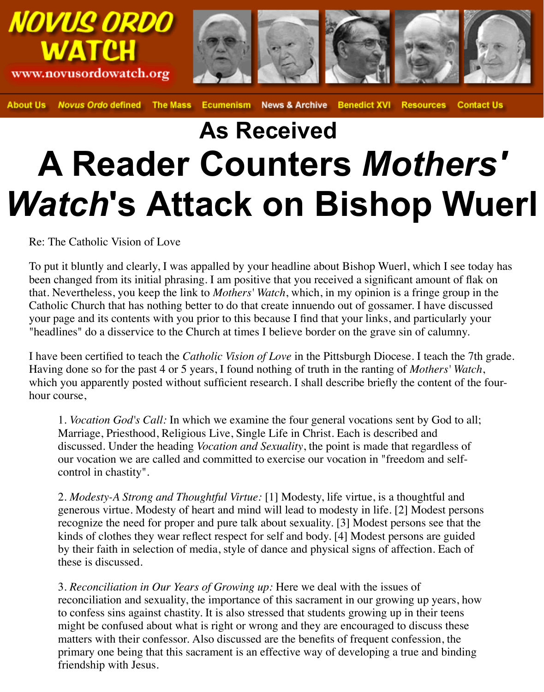

**About Us Novus Ordo defined The Mass News & Archive Benedict XVI Resources Contact Us Ecumenism** 

## **As Received A Reader Counters** *Mothers' Watch***'s Attack on Bishop Wuerl**

Re: The Catholic Vision of Love

To put it bluntly and clearly, I was appalled by your headline about Bishop Wuerl, which I see today has been changed from its initial phrasing. I am positive that you received a significant amount of flak on that. Nevertheless, you keep the link to *Mothers' Watch*, which, in my opinion is a fringe group in the Catholic Church that has nothing better to do that create innuendo out of gossamer. I have discussed your page and its contents with you prior to this because I find that your links, and particularly your "headlines" do a disservice to the Church at times I believe border on the grave sin of calumny.

I have been certified to teach the *Catholic Vision of Love* in the Pittsburgh Diocese. I teach the 7th grade. Having done so for the past 4 or 5 years, I found nothing of truth in the ranting of *Mothers' Watch*, which you apparently posted without sufficient research. I shall describe briefly the content of the fourhour course,

1. *Vocation God's Call:* In which we examine the four general vocations sent by God to all; Marriage, Priesthood, Religious Live, Single Life in Christ. Each is described and discussed. Under the heading *Vocation and Sexuality*, the point is made that regardless of our vocation we are called and committed to exercise our vocation in "freedom and selfcontrol in chastity".

2. *Modesty-A Strong and Thoughtful Virtue:* [1] Modesty, life virtue, is a thoughtful and generous virtue. Modesty of heart and mind will lead to modesty in life. [2] Modest persons recognize the need for proper and pure talk about sexuality. [3] Modest persons see that the kinds of clothes they wear reflect respect for self and body. [4] Modest persons are guided by their faith in selection of media, style of dance and physical signs of affection. Each of these is discussed.

3. *Reconciliation in Our Years of Growing up:* Here we deal with the issues of reconciliation and sexuality, the importance of this sacrament in our growing up years, how to confess sins against chastity. It is also stressed that students growing up in their teens might be confused about what is right or wrong and they are encouraged to discuss these matters with their confessor. Also discussed are the benefits of frequent confession, the primary one being that this sacrament is an effective way of developing a true and binding friendship with Jesus.